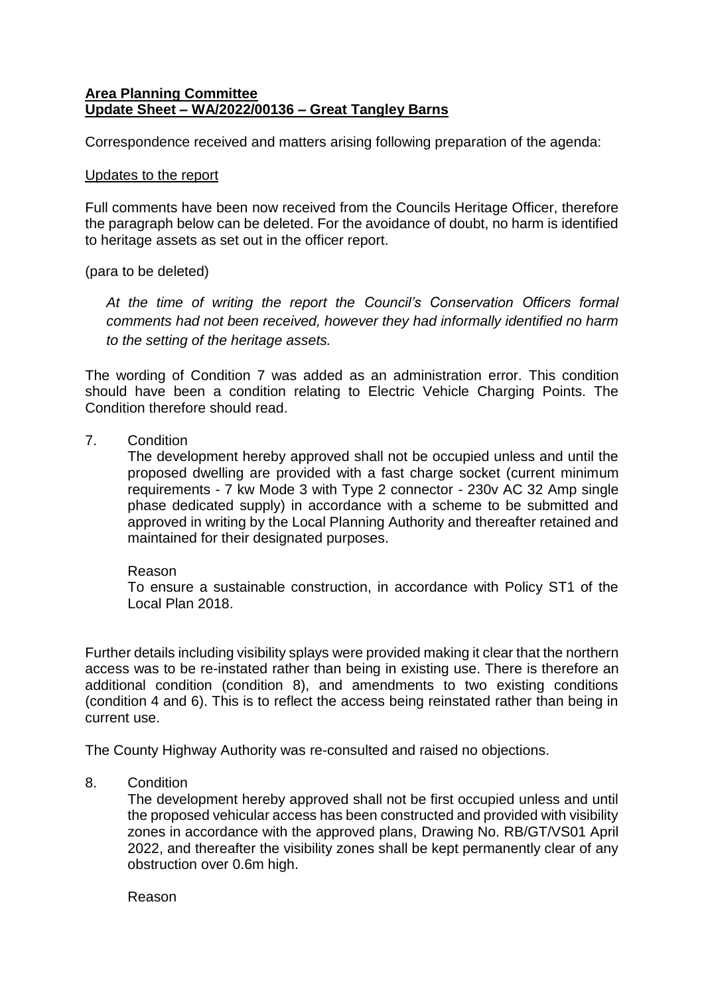# **Area Planning Committee Update Sheet – WA/2022/00136 – Great Tangley Barns**

Correspondence received and matters arising following preparation of the agenda:

#### Updates to the report

Full comments have been now received from the Councils Heritage Officer, therefore the paragraph below can be deleted. For the avoidance of doubt, no harm is identified to heritage assets as set out in the officer report.

(para to be deleted)

*At the time of writing the report the Council's Conservation Officers formal comments had not been received, however they had informally identified no harm to the setting of the heritage assets.*

The wording of Condition 7 was added as an administration error. This condition should have been a condition relating to Electric Vehicle Charging Points. The Condition therefore should read.

7. Condition

The development hereby approved shall not be occupied unless and until the proposed dwelling are provided with a fast charge socket (current minimum requirements - 7 kw Mode 3 with Type 2 connector - 230v AC 32 Amp single phase dedicated supply) in accordance with a scheme to be submitted and approved in writing by the Local Planning Authority and thereafter retained and maintained for their designated purposes.

### Reason

To ensure a sustainable construction, in accordance with Policy ST1 of the Local Plan 2018.

Further details including visibility splays were provided making it clear that the northern access was to be re-instated rather than being in existing use. There is therefore an additional condition (condition 8), and amendments to two existing conditions (condition 4 and 6). This is to reflect the access being reinstated rather than being in current use.

The County Highway Authority was re-consulted and raised no objections.

8. Condition

The development hereby approved shall not be first occupied unless and until the proposed vehicular access has been constructed and provided with visibility zones in accordance with the approved plans, Drawing No. RB/GT/VS01 April 2022, and thereafter the visibility zones shall be kept permanently clear of any obstruction over 0.6m high.

Reason